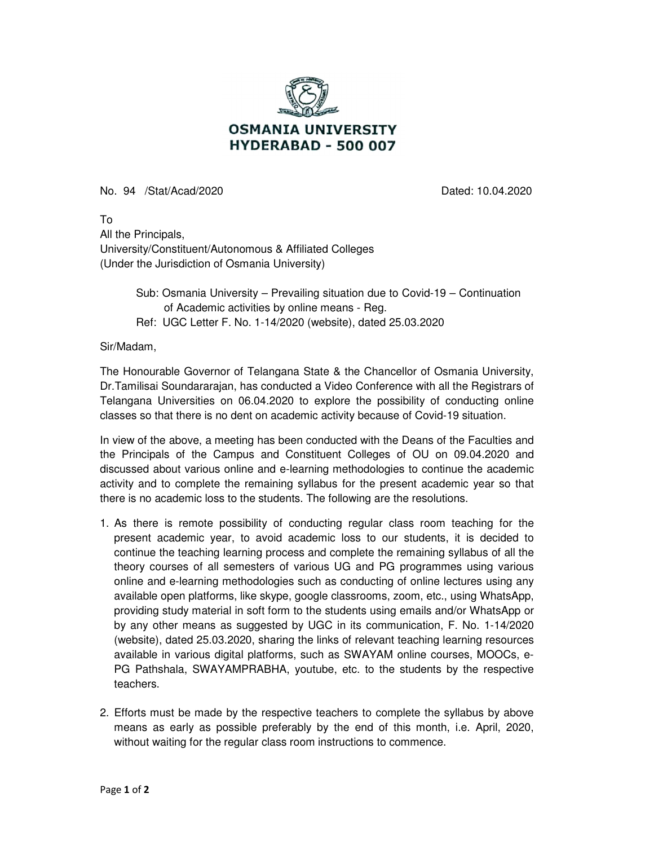

No. 94 /Stat/Acad/2020 Dated: 10.04.2020

To All the Principals, University/Constituent/Autonomous & Affiliated Colleges (Under the Jurisdiction of Osmania University)

> Sub: Osmania University – Prevailing situation due to Covid-19 – Continuation of Academic activities by online means - Reg. Ref: UGC Letter F. No. 1-14/2020 (website), dated 25.03.2020

Sir/Madam,

The Honourable Governor of Telangana State & the Chancellor of Osmania University, Dr.Tamilisai Soundararajan, has conducted a Video Conference with all the Registrars of Telangana Universities on 06.04.2020 to explore the possibility of conducting online classes so that there is no dent on academic activity because of Covid-19 situation.

In view of the above, a meeting has been conducted with the Deans of the Faculties and the Principals of the Campus and Constituent Colleges of OU on 09.04.2020 and discussed about various online and e-learning methodologies to continue the academic activity and to complete the remaining syllabus for the present academic year so that there is no academic loss to the students. The following are the resolutions.

- 1. As there is remote possibility of conducting regular class room teaching for the present academic year, to avoid academic loss to our students, it is decided to continue the teaching learning process and complete the remaining syllabus of all the theory courses of all semesters of various UG and PG programmes using various online and e-learning methodologies such as conducting of online lectures using any available open platforms, like skype, google classrooms, zoom, etc., using WhatsApp, providing study material in soft form to the students using emails and/or WhatsApp or by any other means as suggested by UGC in its communication, F. No. 1-14/2020 (website), dated 25.03.2020, sharing the links of relevant teaching learning resources available in various digital platforms, such as SWAYAM online courses, MOOCs, e-PG Pathshala, SWAYAMPRABHA, youtube, etc. to the students by the respective teachers.
- 2. Efforts must be made by the respective teachers to complete the syllabus by above means as early as possible preferably by the end of this month, i.e. April, 2020, without waiting for the regular class room instructions to commence.